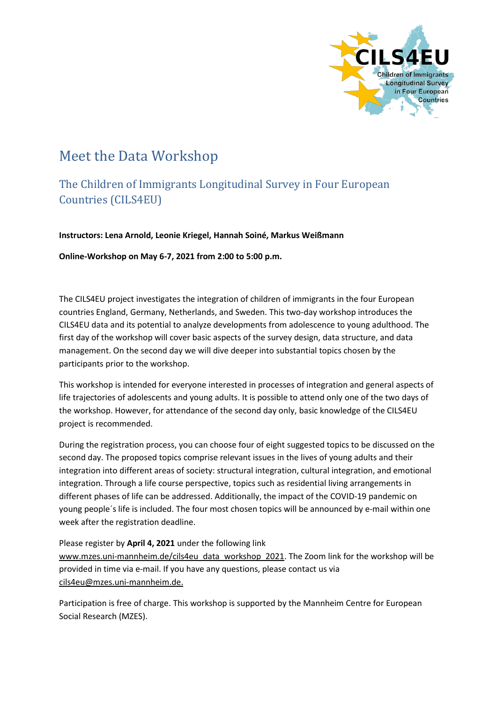

## Meet the Data Workshop

## The Children of Immigrants Longitudinal Survey in Four European Countries (CILS4EU)

**Instructors: Lena Arnold, Leonie Kriegel, Hannah Soiné, Markus Weißmann**

**Online-Workshop on May 6-7, 2021 from 2:00 to 5:00 p.m.**

The CILS4EU project investigates the integration of children of immigrants in the four European countries England, Germany, Netherlands, and Sweden. This two-day workshop introduces the CILS4EU data and its potential to analyze developments from adolescence to young adulthood. The first day of the workshop will cover basic aspects of the survey design, data structure, and data management. On the second day we will dive deeper into substantial topics chosen by the participants prior to the workshop.

This workshop is intended for everyone interested in processes of integration and general aspects of life trajectories of adolescents and young adults. It is possible to attend only one of the two days of the workshop. However, for attendance of the second day only, basic knowledge of the CILS4EU project is recommended.

During the registration process, you can choose four of eight suggested topics to be discussed on the second day. The proposed topics comprise relevant issues in the lives of young adults and their integration into different areas of society: structural integration, cultural integration, and emotional integration. Through a life course perspective, topics such as residential living arrangements in different phases of life can be addressed. Additionally, the impact of the COVID-19 pandemic on young people´s life is included. The four most chosen topics will be announced by e-mail within one week after the registration deadline.

## Please register by **April 4, 2021** under the following link

[www.mzes.uni-mannheim.de/cils4eu\\_data\\_workshop\\_2021.](http://www.mzes.uni-mannheim.de/cils4eu_data_workshop_2021) The Zoom link for the workshop will be provided in time via e-mail. If you have any questions, please contact us via [cils4eu@mzes.uni-mannheim.de.](mailto:cils4eu@mzes.uni-mannheim.de)

Participation is free of charge. This workshop is supported by the Mannheim Centre for European Social Research (MZES).